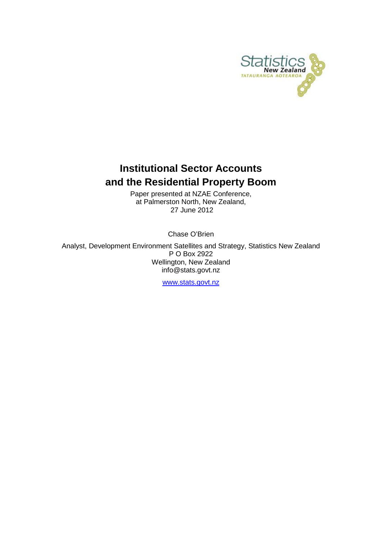

# **Institutional Sector Accounts and the Residential Property Boom**

Paper presented at NZAE Conference, at Palmerston North, New Zealand, 27 June 2012

Chase O'Brien

Analyst, Development Environment Satellites and Strategy, Statistics New Zealand P O Box 2922 Wellington, New Zealand info@stats.govt.nz

[www.stats.govt.nz](http://www.stats.govt.nz/)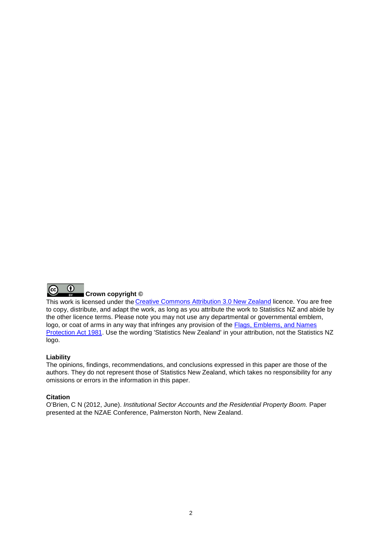

This work is licensed under the [Creative Commons Attribution 3.0 New Zealand](http://creativecommons.org/licenses/by/3.0/nz/deed.en) licence. You are free to copy, distribute, and adapt the work, as long as you attribute the work to Statistics NZ and abide by the other licence terms. Please note you may not use any departmental or governmental emblem, logo, or coat of arms in any way that infringes any provision of the [Flags, Emblems, and Names](http://www.legislation.govt.nz/act/public/1981/0047/latest/DLM51358.html)  [Protection Act 1981.](http://www.legislation.govt.nz/act/public/1981/0047/latest/DLM51358.html) Use the wording 'Statistics New Zealand' in your attribution, not the Statistics NZ logo.

#### **Liability**

The opinions, findings, recommendations, and conclusions expressed in this paper are those of the authors. They do not represent those of Statistics New Zealand, which takes no responsibility for any omissions or errors in the information in this paper.

#### **Citation**

O'Brien, C N (2012, June). *Institutional Sector Accounts and the Residential Property Boom.* Paper presented at the NZAE Conference, Palmerston North, New Zealand.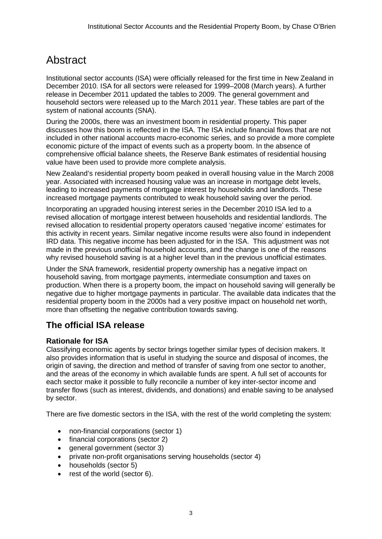# **Abstract**

Institutional sector accounts (ISA) were officially released for the first time in New Zealand in December 2010. ISA for all sectors were released for 1999–2008 (March years). A further release in December 2011 updated the tables to 2009. The general government and household sectors were released up to the March 2011 year. These tables are part of the system of national accounts (SNA).

During the 2000s, there was an investment boom in residential property. This paper discusses how this boom is reflected in the ISA. The ISA include financial flows that are not included in other national accounts macro-economic series, and so provide a more complete economic picture of the impact of events such as a property boom. In the absence of comprehensive official balance sheets, the Reserve Bank estimates of residential housing value have been used to provide more complete analysis.

New Zealand's residential property boom peaked in overall housing value in the March 2008 year. Associated with increased housing value was an increase in mortgage debt levels, leading to increased payments of mortgage interest by households and landlords. These increased mortgage payments contributed to weak household saving over the period.

Incorporating an upgraded housing interest series in the December 2010 ISA led to a revised allocation of mortgage interest between households and residential landlords. The revised allocation to residential property operators caused 'negative income' estimates for this activity in recent years. Similar negative income results were also found in independent IRD data. This negative income has been adjusted for in the ISA. This adjustment was not made in the previous unofficial household accounts, and the change is one of the reasons why revised household saving is at a higher level than in the previous unofficial estimates.

Under the SNA framework, residential property ownership has a negative impact on household saving, from mortgage payments, intermediate consumption and taxes on production. When there is a property boom, the impact on household saving will generally be negative due to higher mortgage payments in particular. The available data indicates that the residential property boom in the 2000s had a very positive impact on household net worth, more than offsetting the negative contribution towards saving.

# **The official ISA release**

## **Rationale for ISA**

Classifying economic agents by sector brings together similar types of decision makers. It also provides information that is useful in studying the source and disposal of incomes, the origin of saving, the direction and method of transfer of saving from one sector to another, and the areas of the economy in which available funds are spent. A full set of accounts for each sector make it possible to fully reconcile a number of key inter-sector income and transfer flows (such as interest, dividends, and donations) and enable saving to be analysed by sector.

There are five domestic sectors in the ISA, with the rest of the world completing the system:

- non-financial corporations (sector 1)
- financial corporations (sector 2)
- general government (sector 3)
- private non-profit organisations serving households (sector 4)
- households (sector 5)
- rest of the world (sector 6).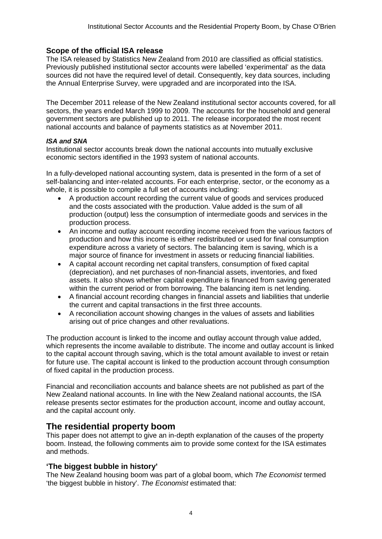## **Scope of the official ISA release**

The ISA released by Statistics New Zealand from 2010 are classified as official statistics. Previously published institutional sector accounts were labelled 'experimental' as the data sources did not have the required level of detail. Consequently, key data sources, including the Annual Enterprise Survey, were upgraded and are incorporated into the ISA.

The December 2011 release of the New Zealand institutional sector accounts covered, for all sectors, the years ended March 1999 to 2009. The accounts for the household and general government sectors are published up to 2011. The release incorporated the most recent national accounts and balance of payments statistics as at November 2011.

### *ISA and SNA*

Institutional sector accounts break down the national accounts into mutually exclusive economic sectors identified in the 1993 system of national accounts.

In a fully-developed national accounting system, data is presented in the form of a set of self-balancing and inter-related accounts. For each enterprise, sector, or the economy as a whole, it is possible to compile a full set of accounts including:

- A production account recording the current value of goods and services produced and the costs associated with the production. Value added is the sum of all production (output) less the consumption of intermediate goods and services in the production process.
- An income and outlay account recording income received from the various factors of production and how this income is either redistributed or used for final consumption expenditure across a variety of sectors. The balancing item is saving, which is a major source of finance for investment in assets or reducing financial liabilities.
- A capital account recording net capital transfers, consumption of fixed capital (depreciation), and net purchases of non-financial assets, inventories, and fixed assets. It also shows whether capital expenditure is financed from saving generated within the current period or from borrowing. The balancing item is net lending.
- A financial account recording changes in financial assets and liabilities that underlie the current and capital transactions in the first three accounts.
- A reconciliation account showing changes in the values of assets and liabilities arising out of price changes and other revaluations.

The production account is linked to the income and outlay account through value added, which represents the income available to distribute. The income and outlay account is linked to the capital account through saving, which is the total amount available to invest or retain for future use. The capital account is linked to the production account through consumption of fixed capital in the production process.

Financial and reconciliation accounts and balance sheets are not published as part of the New Zealand national accounts. In line with the New Zealand national accounts, the ISA release presents sector estimates for the production account, income and outlay account, and the capital account only.

## **The residential property boom**

This paper does not attempt to give an in-depth explanation of the causes of the property boom. Instead, the following comments aim to provide some context for the ISA estimates and methods.

## **'The biggest bubble in history'**

The New Zealand housing boom was part of a global boom, which *The Economist* termed 'the biggest bubble in history'. *The Economist* estimated that: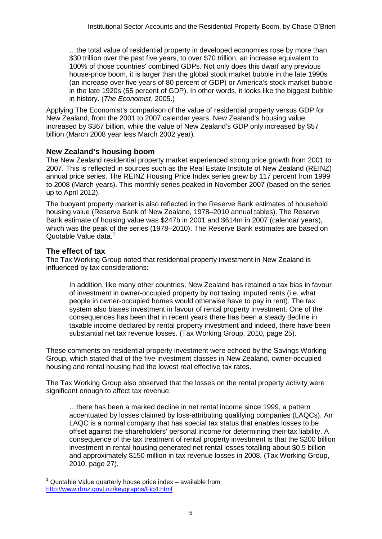…the total value of residential property in developed economies rose by more than \$30 trillion over the past five years, to over \$70 trillion, an increase equivalent to 100% of those countries' combined GDPs. Not only does this dwarf any previous house-price boom, it is larger than the global stock market bubble in the late 1990s (an increase over five years of 80 percent of GDP) or America's stock market bubble in the late 1920s (55 percent of GDP). In other words, it looks like the biggest bubble in history. (*The Economist*, 2005.)

Applying The Economist's comparison of the value of residential property versus GDP for New Zealand, from the 2001 to 2007 calendar years, New Zealand's housing value increased by \$367 billion, while the value of New Zealand's GDP only increased by \$57 billion (March 2008 year less March 2002 year).

## **New Zealand's housing boom**

The New Zealand residential property market experienced strong price growth from 2001 to 2007. This is reflected in sources such as the Real Estate Institute of New Zealand (REINZ) annual price series. The REINZ Housing Price Index series grew by 117 percent from 1999 to 2008 (March years). This monthly series peaked in November 2007 (based on the series up to April 2012).

The buoyant property market is also reflected in the Reserve Bank estimates of household housing value (Reserve Bank of New Zealand, 1978–2010 annual tables). The Reserve Bank estimate of housing value was \$247b in 2001 and \$614m in 2007 (calendar years), which was the peak of the series (1978–2010). The Reserve Bank estimates are based on Quotable Value data. [1](#page-4-0)

## **The effect of tax**

The Tax Working Group noted that residential property investment in New Zealand is influenced by tax considerations:

In addition, like many other countries, New Zealand has retained a tax bias in favour of investment in owner-occupied property by not taxing imputed rents (i.e. what people in owner-occupied homes would otherwise have to pay in rent). The tax system also biases investment in favour of rental property investment. One of the consequences has been that in recent years there has been a steady decline in taxable income declared by rental property investment and indeed, there have been substantial net tax revenue losses. (Tax Working Group, 2010, page 25).

These comments on residential property investment were echoed by the Savings Working Group, which stated that of the five investment classes in New Zealand, owner-occupied housing and rental housing had the lowest real effective tax rates.

The Tax Working Group also observed that the losses on the rental property activity were significant enough to affect tax revenue:

…there has been a marked decline in net rental income since 1999, a pattern accentuated by losses claimed by loss-attributing qualifying companies (LAQCs). An LAQC is a normal company that has special tax status that enables losses to be offset against the shareholders' personal income for determining their tax liability. A consequence of the tax treatment of rental property investment is that the \$200 billion investment in rental housing generated net rental losses totalling about \$0.5 billion and approximately \$150 million in tax revenue losses in 2008. (Tax Working Group, 2010, page 27).

<span id="page-4-0"></span>Quotable Value quarterly house price index – available from <http://www.rbnz.govt.nz/keygraphs/Fig4.html>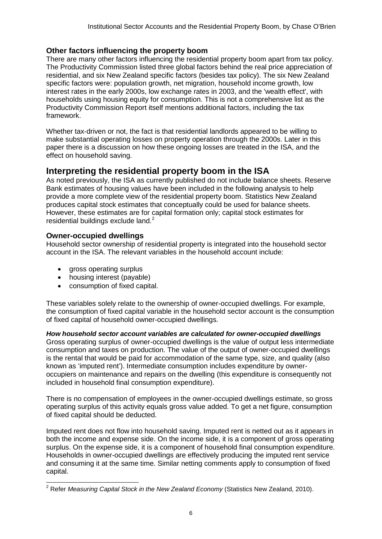## **Other factors influencing the property boom**

There are many other factors influencing the residential property boom apart from tax policy. The Productivity Commission listed three global factors behind the real price appreciation of residential, and six New Zealand specific factors (besides tax policy). The six New Zealand specific factors were: population growth, net migration, household income growth, low interest rates in the early 2000s, low exchange rates in 2003, and the 'wealth effect', with households using housing equity for consumption. This is not a comprehensive list as the Productivity Commission Report itself mentions additional factors, including the tax framework.

Whether tax-driven or not, the fact is that residential landlords appeared to be willing to make substantial operating losses on property operation through the 2000s. Later in this paper there is a discussion on how these ongoing losses are treated in the ISA, and the effect on household saving.

## **Interpreting the residential property boom in the ISA**

As noted previously, the ISA as currently published do not include balance sheets. Reserve Bank estimates of housing values have been included in the following analysis to help provide a more complete view of the residential property boom. Statistics New Zealand produces capital stock estimates that conceptually could be used for balance sheets. However, these estimates are for capital formation only; capital stock estimates for residential buildings exclude land.<sup>[2](#page-5-0)</sup>

## **Owner-occupied dwellings**

Household sector ownership of residential property is integrated into the household sector account in the ISA. The relevant variables in the household account include:

- gross operating surplus
- housing interest (payable)
- consumption of fixed capital.

These variables solely relate to the ownership of owner-occupied dwellings. For example, the consumption of fixed capital variable in the household sector account is the consumption of fixed capital of household owner-occupied dwellings.

*How household sector account variables are calculated for owner-occupied dwellings*

Gross operating surplus of owner-occupied dwellings is the value of output less intermediate consumption and taxes on production. The value of the output of owner-occupied dwellings is the rental that would be paid for accommodation of the same type, size, and quality (also known as 'imputed rent'). Intermediate consumption includes expenditure by owneroccupiers on maintenance and repairs on the dwelling (this expenditure is consequently not included in household final consumption expenditure).

There is no compensation of employees in the owner-occupied dwellings estimate, so gross operating surplus of this activity equals gross value added. To get a net figure, consumption of fixed capital should be deducted.

Imputed rent does not flow into household saving. Imputed rent is netted out as it appears in both the income and expense side. On the income side, it is a component of gross operating surplus. On the expense side, it is a component of household final consumption expenditure. Households in owner-occupied dwellings are effectively producing the imputed rent service and consuming it at the same time. Similar netting comments apply to consumption of fixed capital.

<span id="page-5-0"></span> <sup>2</sup> Refer *Measuring Capital Stock in the New Zealand Economy* (Statistics New Zealand, 2010).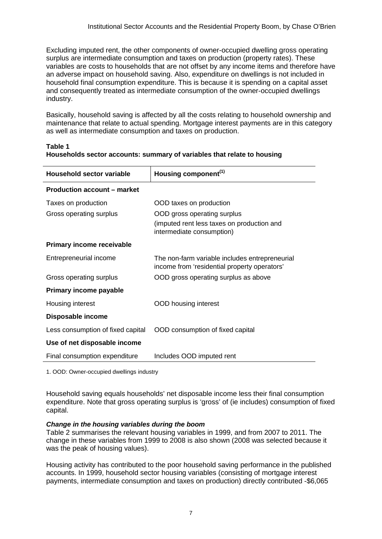income from 'residential property operators'

Excluding imputed rent, the other components of owner-occupied dwelling gross operating surplus are intermediate consumption and taxes on production (property rates). These variables are costs to households that are not offset by any income items and therefore have an adverse impact on household saving. Also, expenditure on dwellings is not included in household final consumption expenditure. This is because it is spending on a capital asset and consequently treated as intermediate consumption of the owner-occupied dwellings industry.

Basically, household saving is affected by all the costs relating to household ownership and maintenance that relate to actual spending. Mortgage interest payments are in this category as well as intermediate consumption and taxes on production.

| Household sector variable          | Housing component <sup>(1)</sup>                                        |  |  |  |  |
|------------------------------------|-------------------------------------------------------------------------|--|--|--|--|
| <b>Production account – market</b> |                                                                         |  |  |  |  |
| Taxes on production                | OOD taxes on production                                                 |  |  |  |  |
| Gross operating surplus            | OOD gross operating surplus                                             |  |  |  |  |
|                                    | (imputed rent less taxes on production and<br>intermediate consumption) |  |  |  |  |
| Primary income receivable          |                                                                         |  |  |  |  |
| Entrepreneurial income             | The non-farm variable includes entrepreneurial                          |  |  |  |  |

### **Table 1 Households sector accounts: summary of variables that relate to housing**

Gross operating surplus OOD gross operating surplus as above

Less consumption of fixed capital OOD consumption of fixed capital

Final consumption expenditure Includes OOD imputed rent

Housing interest OOD housing interest

1. OOD: Owner-occupied dwellings industry

**Use of net disposable income**

**Primary income payable**

**Disposable income**

Household saving equals households' net disposable income less their final consumption expenditure. Note that gross operating surplus is 'gross' of (ie includes) consumption of fixed capital.

#### *Change in the housing variables during the boom*

Table 2 summarises the relevant housing variables in 1999, and from 2007 to 2011. The change in these variables from 1999 to 2008 is also shown (2008 was selected because it was the peak of housing values).

Housing activity has contributed to the poor household saving performance in the published accounts. In 1999, household sector housing variables (consisting of mortgage interest payments, intermediate consumption and taxes on production) directly contributed -\$6,065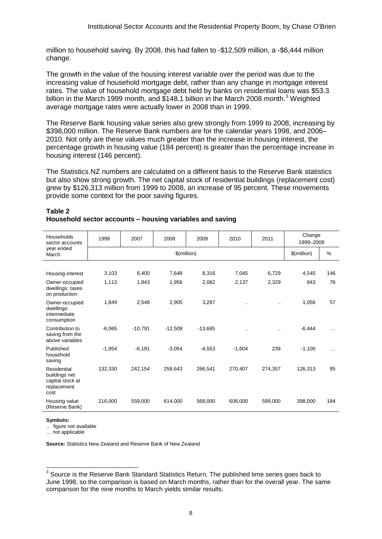million to household saving. By 2008, this had fallen to -\$12,509 million, a -\$6,444 million change.

The growth in the value of the housing interest variable over the period was due to the increasing value of household mortgage debt, rather than any change in mortgage interest rates. The value of household mortgage debt held by banks on residential loans was \$53.3 billion in the March 1999 month, and \$148.1 billion in the March 2008 month.<sup>[3](#page-7-0)</sup> Weighted average mortgage rates were actually lower in 2008 than in 1999.

The Reserve Bank housing value series also grew strongly from 1999 to 2008, increasing by \$398,000 million. The Reserve Bank numbers are for the calendar years 1998, and 2006– 2010. Not only are these values much greater than the increase in housing interest, the percentage growth in housing value (184 percent) is greater than the percentage increase in housing interest (146 percent).

The Statistics NZ numbers are calculated on a different basis to the Reserve Bank statistics but also show strong growth. The net capital stock of residential buildings (replacement cost) grew by \$126,313 million from 1999 to 2008, an increase of 95 percent. These movements provide some context for the poor saving figures.

| Households<br>sector accounts<br>year ended<br>March                    | 1999          | 2007      | 2008      | 2009      | 2010     | 2011      | Change<br>1999-2008 |          |
|-------------------------------------------------------------------------|---------------|-----------|-----------|-----------|----------|-----------|---------------------|----------|
|                                                                         | $$$ (million) |           |           |           |          |           | $$$ (million)       | $\%$     |
|                                                                         |               |           |           |           |          |           |                     |          |
| Housing interest                                                        | 3,103         | 6,400     | 7,648     | 8,316     | 7,045    | 6,729     | 4,545               | 146      |
| Owner-occupied<br>dwellings: taxes<br>on production                     | 1,113         | 1,843     | 1,956     | 2,082     | 2,137    | 2,329     | 843                 | 76       |
| Owner-occupied<br>dwellings:<br>intermediate<br>consumption             | 1,849         | 2,548     | 2,905     | 3,287     | $\cdot$  | $\cdot$ . | 1,056               | 57       |
| Contribution to<br>saving from the<br>above variables                   | $-6,065$      | $-10,791$ | $-12,509$ | $-13,685$ | $\cdot$  |           | $-6,444$            | $\cdots$ |
| Published<br>household<br>saving                                        | $-1,954$      | $-6,191$  | $-3,054$  | $-4,553$  | $-1,604$ | 239       | $-1,100$            | .        |
| Residential<br>buildings net<br>capital stock at<br>replacement<br>cost | 132,330       | 242,154   | 258,643   | 266,541   | 270,407  | 274,357   | 126,313             | 95       |
| Housing value<br>(Reserve Bank)                                         | 216,000       | 559,000   | 614,000   | 568,000   | 606,000  | 599,000   | 398,000             | 184      |

#### **Table 2 Household sector accounts – housing variables and saving**

**Symbols:**

.. figure not available

… not applicable

**Source:** Statistics New Zealand and Reserve Bank of New Zealand

<span id="page-7-0"></span><sup>&</sup>lt;sup>3</sup> Source is the Reserve Bank Standard Statistics Return. The published time series goes back to June 1998, so the comparison is based on March months, rather than for the overall year. The same comparison for the nine months to March yields similar results.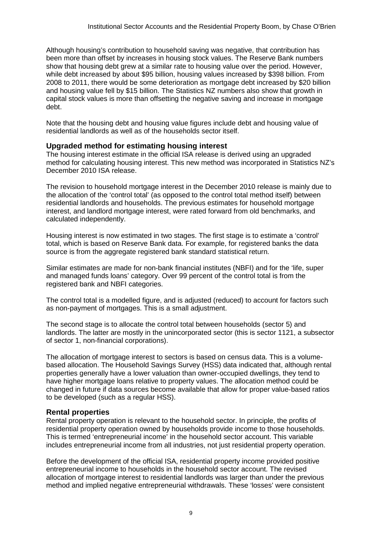Although housing's contribution to household saving was negative, that contribution has been more than offset by increases in housing stock values. The Reserve Bank numbers show that housing debt grew at a similar rate to housing value over the period. However, while debt increased by about \$95 billion, housing values increased by \$398 billion. From 2008 to 2011, there would be some deterioration as mortgage debt increased by \$20 billion and housing value fell by \$15 billion. The Statistics NZ numbers also show that growth in capital stock values is more than offsetting the negative saving and increase in mortgage debt.

Note that the housing debt and housing value figures include debt and housing value of residential landlords as well as of the households sector itself.

#### **Upgraded method for estimating housing interest**

The housing interest estimate in the official ISA release is derived using an upgraded method for calculating housing interest. This new method was incorporated in Statistics NZ's December 2010 ISA release.

The revision to household mortgage interest in the December 2010 release is mainly due to the allocation of the 'control total' (as opposed to the control total method itself) between residential landlords and households. The previous estimates for household mortgage interest, and landlord mortgage interest, were rated forward from old benchmarks, and calculated independently.

Housing interest is now estimated in two stages. The first stage is to estimate a 'control' total, which is based on Reserve Bank data. For example, for registered banks the data source is from the aggregate registered bank standard statistical return.

Similar estimates are made for non-bank financial institutes (NBFI) and for the 'life, super and managed funds loans' category. Over 99 percent of the control total is from the registered bank and NBFI categories.

The control total is a modelled figure, and is adjusted (reduced) to account for factors such as non-payment of mortgages. This is a small adjustment.

The second stage is to allocate the control total between households (sector 5) and landlords. The latter are mostly in the unincorporated sector (this is sector 1121, a subsector of sector 1, non-financial corporations).

The allocation of mortgage interest to sectors is based on census data. This is a volumebased allocation. The Household Savings Survey (HSS) data indicated that, although rental properties generally have a lower valuation than owner-occupied dwellings, they tend to have higher mortgage loans relative to property values. The allocation method could be changed in future if data sources become available that allow for proper value-based ratios to be developed (such as a regular HSS).

#### **Rental properties**

Rental property operation is relevant to the household sector. In principle, the profits of residential property operation owned by households provide income to those households. This is termed 'entrepreneurial income' in the household sector account. This variable includes entrepreneurial income from all industries, not just residential property operation.

Before the development of the official ISA, residential property income provided positive entrepreneurial income to households in the household sector account. The revised allocation of mortgage interest to residential landlords was larger than under the previous method and implied negative entrepreneurial withdrawals. These 'losses' were consistent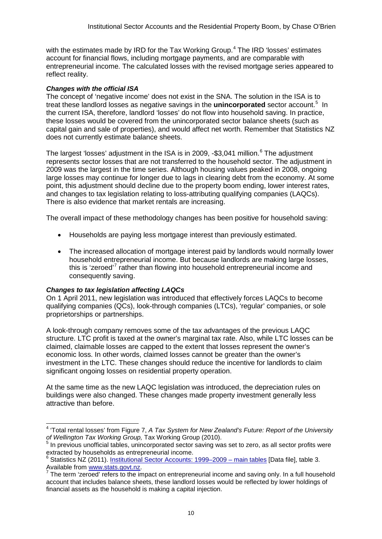with the estimates made by IRD for the Tax Working Group.<sup>[4](#page-9-0)</sup> The IRD 'losses' estimates account for financial flows, including mortgage payments, and are comparable with entrepreneurial income. The calculated losses with the revised mortgage series appeared to reflect reality.

### *Changes with the official ISA*

The concept of 'negative income' does not exist in the SNA. The solution in the ISA is to treat these landlord losses as negative savings in the **unincorporated** sector account. [5](#page-9-1) In the current ISA, therefore, landlord 'losses' do not flow into household saving. In practice, these losses would be covered from the unincorporated sector balance sheets (such as capital gain and sale of properties), and would affect net worth. Remember that Statistics NZ does not currently estimate balance sheets.

The largest 'losses' adjustment in the ISA is in 2009, -\$3,041 million.<sup>[6](#page-9-2)</sup> The adjustment represents sector losses that are not transferred to the household sector. The adjustment in 2009 was the largest in the time series. Although housing values peaked in 2008, ongoing large losses may continue for longer due to lags in clearing debt from the economy. At some point, this adjustment should decline due to the property boom ending, lower interest rates, and changes to tax legislation relating to loss-attributing qualifying companies (LAQCs). There is also evidence that market rentals are increasing.

The overall impact of these methodology changes has been positive for household saving:

- Households are paying less mortgage interest than previously estimated.
- The increased allocation of mortgage interest paid by landlords would normally lower household entrepreneurial income. But because landlords are making large losses, this is 'zeroed'<sup>[7](#page-9-3)</sup> rather than flowing into household entrepreneurial income and consequently saving.

## *Changes to tax legislation affecting LAQCs*

On 1 April 2011, new legislation was introduced that effectively forces LAQCs to become qualifying companies (QCs), look-through companies (LTCs), 'regular' companies, or sole proprietorships or partnerships.

A look-through company removes some of the tax advantages of the previous LAQC structure. LTC profit is taxed at the owner's marginal tax rate. Also, while LTC losses can be claimed, claimable losses are capped to the extent that losses represent the owner's economic loss. In other words, claimed losses cannot be greater than the owner's investment in the LTC. These changes should reduce the incentive for landlords to claim significant ongoing losses on residential property operation.

At the same time as the new LAQC legislation was introduced, the depreciation rules on buildings were also changed. These changes made property investment generally less attractive than before.

<span id="page-9-1"></span><sup>5</sup> In previous unofficial tables, unincorporated sector saving was set to zero, as all sector profits were extracted by households as entrepreneurial income.

<span id="page-9-0"></span><sup>&</sup>lt;sup>4</sup> 'Total rental losses' from Figure 7, *A Tax System for New Zealand's Future: Report of the University of Wellington Tax Working Group, Tax Working Group, Tax Working and Wellington Tax Working Group, Tax Working Group,* 

<span id="page-9-2"></span><sup>&</sup>lt;sup>6</sup> Statistics NZ (2011). <u>Institutional Sector Accounts: 1999–2009 – main tables</u> [Data file], table 3.<br>Available from www.stats.govt.nz.

<span id="page-9-3"></span>The term 'zeroed' refers to the impact on entrepreneurial income and saving only. In a full household account that includes balance sheets, these landlord losses would be reflected by lower holdings of financial assets as the household is making a capital injection.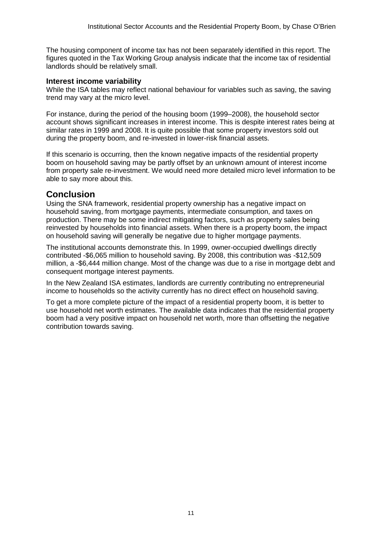The housing component of income tax has not been separately identified in this report. The figures quoted in the Tax Working Group analysis indicate that the income tax of residential landlords should be relatively small.

### **Interest income variability**

While the ISA tables may reflect national behaviour for variables such as saving, the saving trend may vary at the micro level.

For instance, during the period of the housing boom (1999–2008), the household sector account shows significant increases in interest income. This is despite interest rates being at similar rates in 1999 and 2008. It is quite possible that some property investors sold out during the property boom, and re-invested in lower-risk financial assets.

If this scenario is occurring, then the known negative impacts of the residential property boom on household saving may be partly offset by an unknown amount of interest income from property sale re-investment. We would need more detailed micro level information to be able to say more about this.

## **Conclusion**

Using the SNA framework, residential property ownership has a negative impact on household saving, from mortgage payments, intermediate consumption, and taxes on production. There may be some indirect mitigating factors, such as property sales being reinvested by households into financial assets. When there is a property boom, the impact on household saving will generally be negative due to higher mortgage payments.

The institutional accounts demonstrate this. In 1999, owner-occupied dwellings directly contributed -\$6,065 million to household saving. By 2008, this contribution was -\$12,509 million, a -\$6,444 million change. Most of the change was due to a rise in mortgage debt and consequent mortgage interest payments.

In the New Zealand ISA estimates, landlords are currently contributing no entrepreneurial income to households so the activity currently has no direct effect on household saving.

To get a more complete picture of the impact of a residential property boom, it is better to use household net worth estimates. The available data indicates that the residential property boom had a very positive impact on household net worth, more than offsetting the negative contribution towards saving.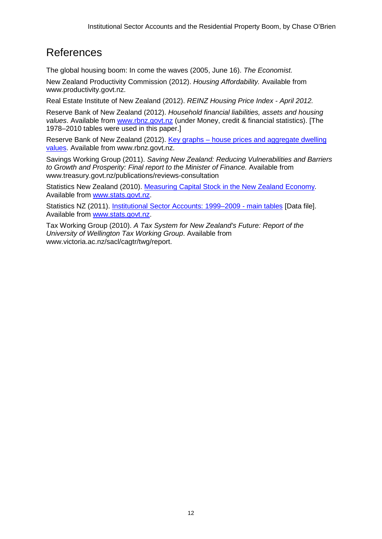# References

The global housing boom: In come the waves (2005, June 16). *The Economist.*

New Zealand Productivity Commission (2012). *Housing Affordability.* Available from www.productivity.govt.nz.

Real Estate Institute of New Zealand (2012). *REINZ Housing Price Index - April 2012.*

Reserve Bank of New Zealand (2012). *Household financial liabilities, assets and housing*  values. Available from [www.rbnz.govt.nz](http://www.rbnz.govt.nz/) (under Money, credit & financial statistics). [The 1978–2010 tables were used in this paper.]

Reserve Bank of New Zealand (2012). Key graphs – [house prices and aggregate dwelling](http://www.rbnz.govt.nz/keygraphs/Fig4.html)  [values.](http://www.rbnz.govt.nz/keygraphs/Fig4.html) Available from www.rbnz.govt.nz.

Savings Working Group (2011). *Saving New Zealand: Reducing Vulnerabilities and Barriers to Growth and Prosperity: Final report to the Minister of Finance.* Available from www.treasury.govt.nz/publications/reviews-consultation

Statistics New Zealand (2010). [Measuring Capital Stock in the New Zealand Economy](http://www.stats.govt.nz/browse_for_stats/economic_indicators/NationalAccounts/measuring-capital-stock-in-the-nz-economy.aspx)*.* Available from [www.stats.govt.nz.](http://www.stats.govt.nz/)

Statistics NZ (2011). [Institutional Sector Accounts: 1999–2009](http://www.stats.govt.nz/browse_for_stats/economic_indicators/NationalAccounts/InstitutionalSectorAccounts_HOTP99-09/Tables.aspx) - main tables [Data file]. Available from [www.stats.govt.nz.](http://www.stats.govt.nz/)

Tax Working Group (2010). *A Tax System for New Zealand's Future: Report of the University of Wellington Tax Working Group*. Available from www.victoria.ac.nz/sacl/cagtr/twg/report.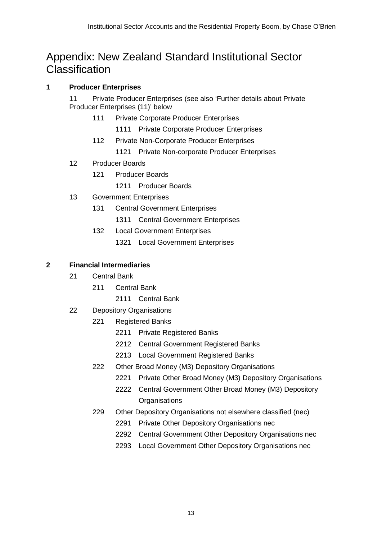# Appendix: New Zealand Standard Institutional Sector **Classification**

## **Producer Enterprises**

 Private Producer Enterprises (see also ['Further details about Private](#page-14-0)  [Producer Enterprises](#page-14-0) (11)' below

- Private Corporate Producer Enterprises
	- Private Corporate Producer Enterprises
- Private Non-Corporate Producer Enterprises
	- Private Non-corporate Producer Enterprises
- Producer Boards
	- Producer Boards
		- Producer Boards
- Government Enterprises
	- Central Government Enterprises
		- Central Government Enterprises
	- Local Government Enterprises
		- Local Government Enterprises

## **Financial Intermediaries**

- Central Bank
	- Central Bank
		- Central Bank
- Depository Organisations
	- Registered Banks
		- Private Registered Banks
		- Central Government Registered Banks
		- Local Government Registered Banks
	- Other Broad Money (M3) Depository Organisations
		- Private Other Broad Money (M3) Depository Organisations
		- Central Government Other Broad Money (M3) Depository **Organisations**
	- Other Depository Organisations not elsewhere classified (nec)
		- Private Other Depository Organisations nec
		- Central Government Other Depository Organisations nec
		- Local Government Other Depository Organisations nec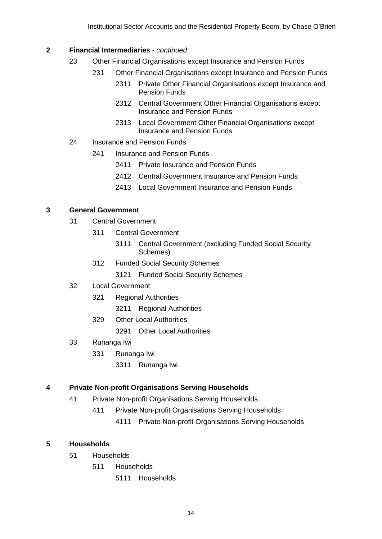### **Financial Intermediaries** *- continued*

- Other Financial Organisations except Insurance and Pension Funds
	- Other Financial Organisations except Insurance and Pension Funds
		- Private Other Financial Organisations except Insurance and Pension Funds
		- Central Government Other Financial Organisations except Insurance and Pension Funds
		- Local Government Other Financial Organisations except Insurance and Pension Funds
- Insurance and Pension Funds
	- 241 Insurance and Pension Funds
		- Private Insurance and Pension Funds
		- Central Government Insurance and Pension Funds
		- Local Government Insurance and Pension Funds

## **General Government**

- Central Government
	- Central Government
		- Central Government (excluding Funded Social Security Schemes)
	- Funded Social Security Schemes
		- Funded Social Security Schemes
- Local Government
	- Regional Authorities
		- Regional Authorities
	- Other Local Authorities
		- Other Local Authorities
- Runanga Iwi
	- Runanga Iwi
		- Runanga Iwi

## **Private Non-profit Organisations Serving Households**

- Private Non-profit Organisations Serving Households
	- Private Non-profit Organisations Serving Households
		- Private Non-profit Organisations Serving Households

## **Households**

- Households
	- Households
		- Households